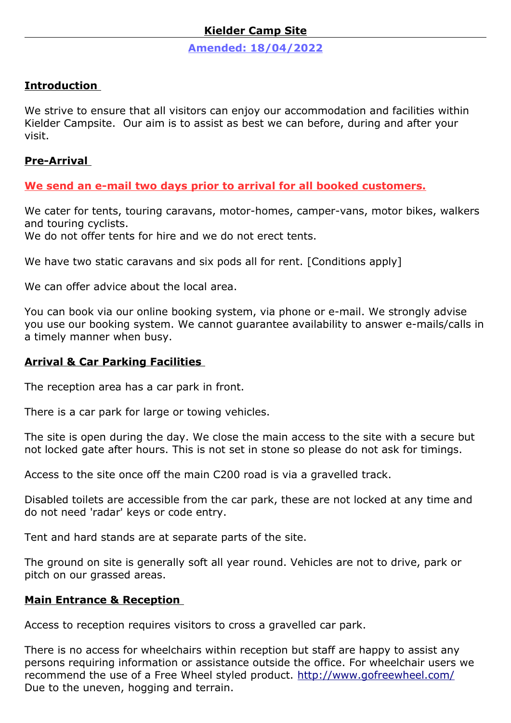## **Kielder Camp Site**

 **Amended: 18/04/2022**

#### **Introduction**

We strive to ensure that all visitors can enjoy our accommodation and facilities within Kielder Campsite. Our aim is to assist as best we can before, during and after your visit.

#### **Pre-Arrival**

**We send an e-mail two days prior to arrival for all booked customers.**

We cater for tents, touring caravans, motor-homes, camper-vans, motor bikes, walkers and touring cyclists.

We do not offer tents for hire and we do not erect tents.

We have two static caravans and six pods all for rent. [Conditions apply]

We can offer advice about the local area.

You can book via our online booking system, via phone or e-mail. We strongly advise you use our booking system. We cannot guarantee availability to answer e-mails/calls in a timely manner when busy.

#### **Arrival & Car Parking Facilities**

The reception area has a car park in front.

There is a car park for large or towing vehicles.

The site is open during the day. We close the main access to the site with a secure but not locked gate after hours. This is not set in stone so please do not ask for timings.

Access to the site once off the main C200 road is via a gravelled track.

Disabled toilets are accessible from the car park, these are not locked at any time and do not need 'radar' keys or code entry.

Tent and hard stands are at separate parts of the site.

The ground on site is generally soft all year round. Vehicles are not to drive, park or pitch on our grassed areas.

## **Main Entrance & Reception**

Access to reception requires visitors to cross a gravelled car park.

There is no access for wheelchairs within reception but staff are happy to assist any persons requiring information or assistance outside the office. For wheelchair users we recommend the use of a Free Wheel styled product.<http://www.gofreewheel.com/> Due to the uneven, hogging and terrain.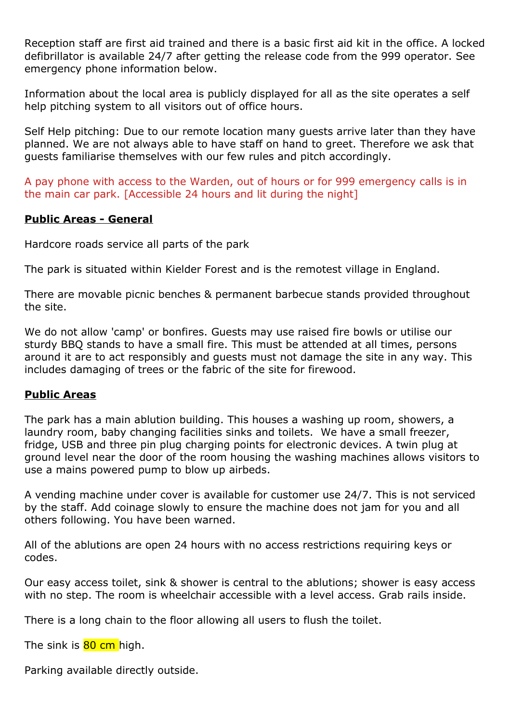Reception staff are first aid trained and there is a basic first aid kit in the office. A locked defibrillator is available 24/7 after getting the release code from the 999 operator. See emergency phone information below.

Information about the local area is publicly displayed for all as the site operates a self help pitching system to all visitors out of office hours.

Self Help pitching: Due to our remote location many guests arrive later than they have planned. We are not always able to have staff on hand to greet. Therefore we ask that guests familiarise themselves with our few rules and pitch accordingly.

A pay phone with access to the Warden, out of hours or for 999 emergency calls is in the main car park. [Accessible 24 hours and lit during the night]

## **Public Areas - General**

Hardcore roads service all parts of the park

The park is situated within Kielder Forest and is the remotest village in England.

There are movable picnic benches & permanent barbecue stands provided throughout the site.

We do not allow 'camp' or bonfires. Guests may use raised fire bowls or utilise our sturdy BBQ stands to have a small fire. This must be attended at all times, persons around it are to act responsibly and guests must not damage the site in any way. This includes damaging of trees or the fabric of the site for firewood.

#### **Public Areas**

The park has a main ablution building. This houses a washing up room, showers, a laundry room, baby changing facilities sinks and toilets. We have a small freezer, fridge, USB and three pin plug charging points for electronic devices. A twin plug at ground level near the door of the room housing the washing machines allows visitors to use a mains powered pump to blow up airbeds.

A vending machine under cover is available for customer use 24/7. This is not serviced by the staff. Add coinage slowly to ensure the machine does not jam for you and all others following. You have been warned.

All of the ablutions are open 24 hours with no access restrictions requiring keys or codes.

Our easy access toilet, sink & shower is central to the ablutions; shower is easy access with no step. The room is wheelchair accessible with a level access. Grab rails inside.

There is a long chain to the floor allowing all users to flush the toilet.

The sink is **80 cm** high.

Parking available directly outside.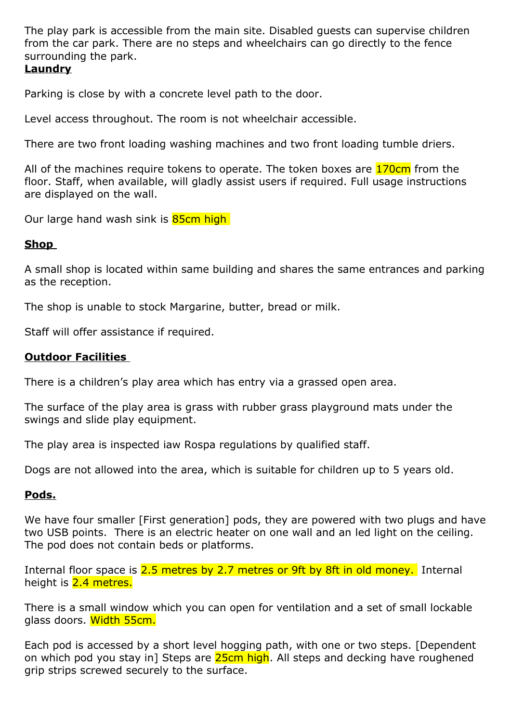The play park is accessible from the main site. Disabled guests can supervise children from the car park. There are no steps and wheelchairs can go directly to the fence surrounding the park.

# **Laundry**

Parking is close by with a concrete level path to the door.

Level access throughout. The room is not wheelchair accessible.

There are two front loading washing machines and two front loading tumble driers.

All of the machines require tokens to operate. The token boxes are **170cm** from the floor. Staff, when available, will gladly assist users if required. Full usage instructions are displayed on the wall.

Our large hand wash sink is 85cm high

## **Shop**

A small shop is located within same building and shares the same entrances and parking as the reception.

The shop is unable to stock Margarine, butter, bread or milk.

Staff will offer assistance if required.

## **Outdoor Facilities**

There is a children's play area which has entry via a grassed open area.

The surface of the play area is grass with rubber grass playground mats under the swings and slide play equipment.

The play area is inspected iaw Rospa regulations by qualified staff.

Dogs are not allowed into the area, which is suitable for children up to 5 years old.

## **Pods.**

We have four smaller [First generation] pods, they are powered with two plugs and have two USB points. There is an electric heater on one wall and an led light on the ceiling. The pod does not contain beds or platforms.

Internal floor space is 2.5 metres by 2.7 metres or 9ft by 8ft in old money. Internal height is 2.4 metres.

There is a small window which you can open for ventilation and a set of small lockable glass doors. Width 55cm.

Each pod is accessed by a short level hogging path, with one or two steps. [Dependent on which pod you stay in] Steps are 25cm high. All steps and decking have roughened grip strips screwed securely to the surface.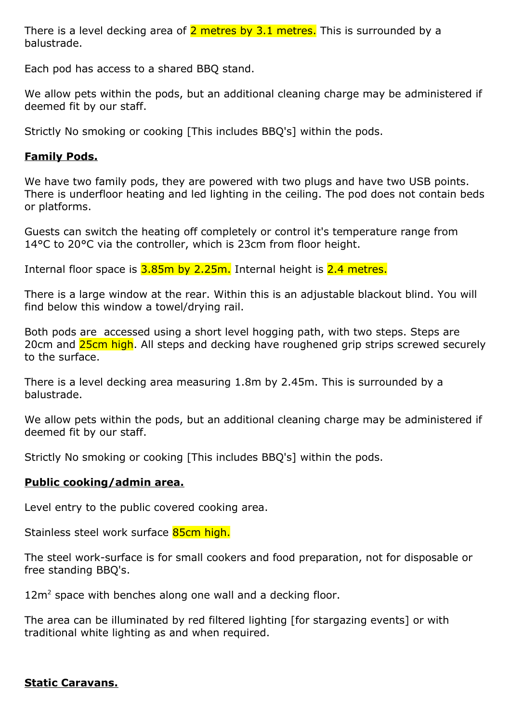There is a level decking area of  $2$  metres by  $3.1$  metres. This is surrounded by a balustrade.

Each pod has access to a shared BBQ stand.

We allow pets within the pods, but an additional cleaning charge may be administered if deemed fit by our staff.

Strictly No smoking or cooking [This includes BBQ's] within the pods.

# **Family Pods.**

We have two family pods, they are powered with two plugs and have two USB points. There is underfloor heating and led lighting in the ceiling. The pod does not contain beds or platforms.

Guests can switch the heating off completely or control it's temperature range from 14°C to 20°C via the controller, which is 23cm from floor height.

Internal floor space is 3.85m by 2.25m. Internal height is 2.4 metres.

There is a large window at the rear. Within this is an adjustable blackout blind. You will find below this window a towel/drying rail.

Both pods are accessed using a short level hogging path, with two steps. Steps are 20cm and 25cm high. All steps and decking have roughened grip strips screwed securely to the surface.

There is a level decking area measuring 1.8m by 2.45m. This is surrounded by a balustrade.

We allow pets within the pods, but an additional cleaning charge may be administered if deemed fit by our staff.

Strictly No smoking or cooking [This includes BBQ's] within the pods.

## **Public cooking/admin area.**

Level entry to the public covered cooking area.

Stainless steel work surface 85cm high.

The steel work-surface is for small cookers and food preparation, not for disposable or free standing BBQ's.

 $12m<sup>2</sup>$  space with benches along one wall and a decking floor.

The area can be illuminated by red filtered lighting [for stargazing events] or with traditional white lighting as and when required.

## **Static Caravans.**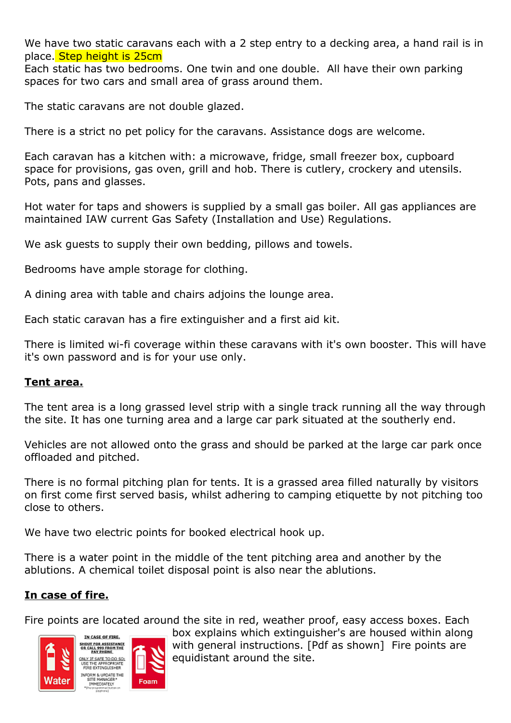We have two static caravans each with a 2 step entry to a decking area, a hand rail is in place. Step height is 25cm

Each static has two bedrooms. One twin and one double. All have their own parking spaces for two cars and small area of grass around them.

The static caravans are not double glazed.

There is a strict no pet policy for the caravans. Assistance dogs are welcome.

Each caravan has a kitchen with: a microwave, fridge, small freezer box, cupboard space for provisions, gas oven, grill and hob. There is cutlery, crockery and utensils. Pots, pans and glasses.

Hot water for taps and showers is supplied by a small gas boiler. All gas appliances are maintained IAW current Gas Safety (Installation and Use) Regulations.

We ask guests to supply their own bedding, pillows and towels.

Bedrooms have ample storage for clothing.

A dining area with table and chairs adjoins the lounge area.

Each static caravan has a fire extinguisher and a first aid kit.

There is limited wi-fi coverage within these caravans with it's own booster. This will have it's own password and is for your use only.

## **Tent area.**

The tent area is a long grassed level strip with a single track running all the way through the site. It has one turning area and a large car park situated at the southerly end.

Vehicles are not allowed onto the grass and should be parked at the large car park once offloaded and pitched.

There is no formal pitching plan for tents. It is a grassed area filled naturally by visitors on first come first served basis, whilst adhering to camping etiquette by not pitching too close to others.

We have two electric points for booked electrical hook up.

There is a water point in the middle of the tent pitching area and another by the ablutions. A chemical toilet disposal point is also near the ablutions.

## **In case of fire.**

Fire points are located around the site in red, weather proof, easy access boxes. Each



box explains which extinguisher's are housed within along with general instructions. [Pdf as shown] Fire points are equidistant around the site.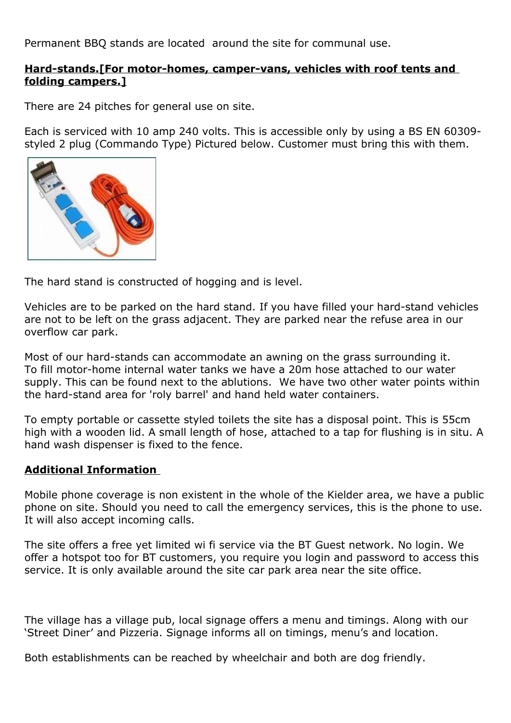Permanent BBQ stands are located around the site for communal use.

#### **Hard-stands.[For motor-homes, camper-vans, vehicles with roof tents and folding campers.]**

There are 24 pitches for general use on site.

Each is serviced with 10 amp 240 volts. This is accessible only by using a BS EN 60309 styled 2 plug (Commando Type) Pictured below. Customer must bring this with them.



The hard stand is constructed of hogging and is level.

Vehicles are to be parked on the hard stand. If you have filled your hard-stand vehicles are not to be left on the grass adjacent. They are parked near the refuse area in our overflow car park.

Most of our hard-stands can accommodate an awning on the grass surrounding it. To fill motor-home internal water tanks we have a 20m hose attached to our water supply. This can be found next to the ablutions. We have two other water points within the hard-stand area for 'roly barrel' and hand held water containers.

To empty portable or cassette styled toilets the site has a disposal point. This is 55cm high with a wooden lid. A small length of hose, attached to a tap for flushing is in situ. A hand wash dispenser is fixed to the fence.

## **Additional Information**

Mobile phone coverage is non existent in the whole of the Kielder area, we have a public phone on site. Should you need to call the emergency services, this is the phone to use. It will also accept incoming calls.

The site offers a free yet limited wi fi service via the BT Guest network. No login. We offer a hotspot too for BT customers, you require you login and password to access this service. It is only available around the site car park area near the site office.

The village has a village pub, local signage offers a menu and timings. Along with our 'Street Diner' and Pizzeria. Signage informs all on timings, menu's and location.

Both establishments can be reached by wheelchair and both are dog friendly.